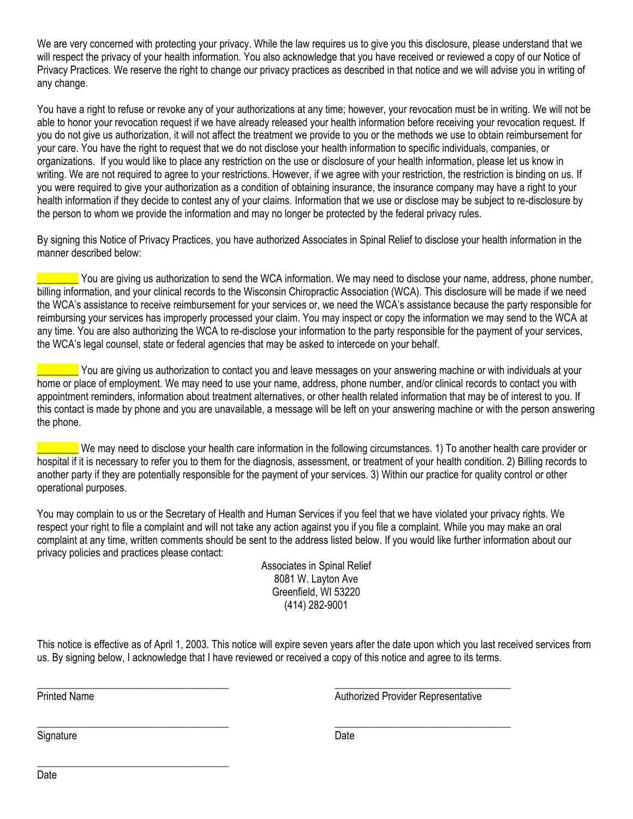We are very concerned with protecting your privacy. While the law requires us to give you this disclosure, please understand that we will respect the privacy of your health information. You also acknowledge that you have received or reviewed a copy of our Notice of Privacy Practices. We reserve the right to change our privacy practices as described in that notice and we will advise you in writing of any change.

You have a right to refuse or revoke any of your authorizations at any time; however, your revocation must be in writing. We will not be able to honor your revocation request if we have already released your health information before receiving your revocation request. If you do not give us authorization, it will not affect the treatment we provide to you or the methods we use to obtain reimbursement for your care. You have the right to request that we do not disclose your health information to specific individuals, companies, or organizations. If you would like to place any restriction on the use or disclosure of your health information, please let us know in writing. We are not required to agree to your restrictions. However, if we agree with your restriction, the restriction is binding on us. If you were required to give your authorization as a condition of obtaining insurance, the insurance company may have a right to your health information if they decide to contest any of your claims. Information that we use or disclose may be subject to re-disclosure by the person to whom we provide the information and may no longer be protected by the federal privacy rules.

By signing this Notice of Privacy Practices, you have authorized Associates in Spinal Relief to disclose your health information in the manner described below:

You are giving us authorization to send the WCA information. We may need to disclose your name, address, phone number, billing information, and your clinical records to the Wisconsin Chiropractic Association (WCA). This disclosure will be made if we need the WCA's assistance to receive reimbursement for your services or, we need the WCA's assistance because the party responsible for reimbursing your services has improperly processed your claim. You may inspect or copy the information we may send to the WCA at any time. You are also authorizing the WCA to re-disclose your information to the party responsible for the payment of your services, the WCA's legal counsel, state or federal agencies that may be asked to intercede on your behalf.

You are giving us authorization to contact you and leave messages on your answering machine or with individuals at your home or place of employment. We may need to use your name, address, phone number, and/or clinical records to contact you with appointment reminders, information about treatment alternatives, or other health related information that may be of interest to you. If this contact is made by phone and you are unavailable, a message will be left on your answering machine or with the person answering the phone.

\_\_\_\_\_\_\_\_ We may need to disclose your health care information in the following circumstances. 1) To another health care provider or hospital if it is necessary to refer you to them for the diagnosis, assessment, or treatment of your health condition. 2) Billing records to another party if they are potentially responsible for the payment of your services. 3) Within our practice for quality control or other operational purposes.

You may complain to us or the Secretary of Health and Human Services if you feel that we have violated your privacy rights. We respect your right to file a complaint and will not take any action against you if you file a complaint. While you may make an oral complaint at any time, written comments should be sent to the address listed below. If you would like further information about our privacy policies and practices please contact:

> Associates in Spinal Relief 8081 W. Layton Ave Greenfield, WI 53220 (414) 282-9001

This notice is effective as of April 1, 2003. This notice will expire seven years after the date upon which you last received services from us. By signing below, I acknowledge that I have reviewed or received a copy of this notice and agree to its terms.

\_\_\_\_\_\_\_\_\_\_\_\_\_\_\_\_\_\_\_\_\_\_\_\_\_\_\_\_\_\_\_\_\_\_\_\_\_ \_\_\_\_\_\_\_\_\_\_\_\_\_\_\_\_\_\_\_\_\_\_\_\_\_\_\_\_\_\_\_\_\_\_

\_\_\_\_\_\_\_\_\_\_\_\_\_\_\_\_\_\_\_\_\_\_\_\_\_\_\_\_\_\_\_\_\_\_\_\_\_ \_\_\_\_\_\_\_\_\_\_\_\_\_\_\_\_\_\_\_\_\_\_\_\_\_\_\_\_\_\_\_\_\_\_ Printed Name **Authorized Provider Representative** Authorized Provider Representative

Signature Date

\_\_\_\_\_\_\_\_\_\_\_\_\_\_\_\_\_\_\_\_\_\_\_\_\_\_\_\_\_\_\_\_\_\_\_\_\_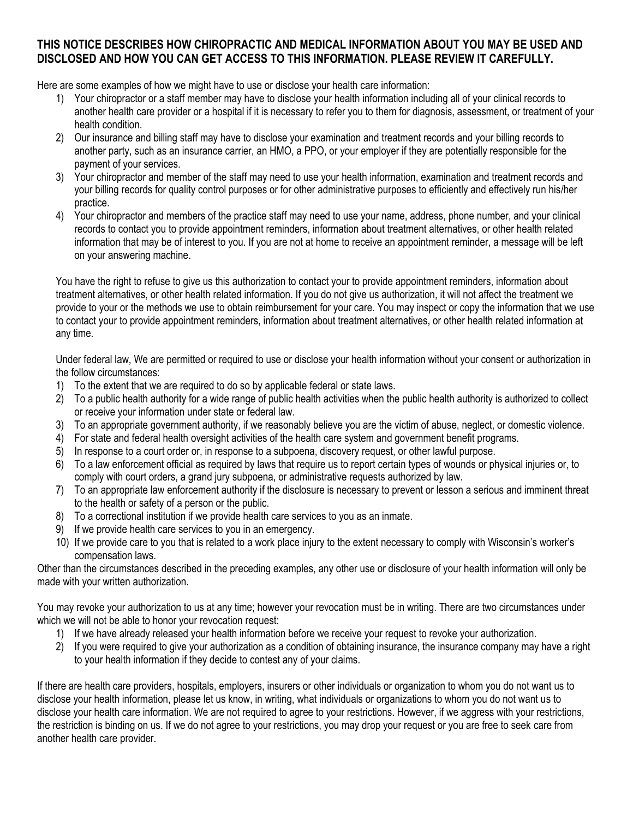## **THIS NOTICE DESCRIBES HOW CHIROPRACTIC AND MEDICAL INFORMATION ABOUT YOU MAY BE USED AND DISCLOSED AND HOW YOU CAN GET ACCESS TO THIS INFORMATION. PLEASE REVIEW IT CAREFULLY.**

Here are some examples of how we might have to use or disclose your health care information:

- 1) Your chiropractor or a staff member may have to disclose your health information including all of your clinical records to another health care provider or a hospital if it is necessary to refer you to them for diagnosis, assessment, or treatment of your health condition.
- 2) Our insurance and billing staff may have to disclose your examination and treatment records and your billing records to another party, such as an insurance carrier, an HMO, a PPO, or your employer if they are potentially responsible for the payment of your services.
- 3) Your chiropractor and member of the staff may need to use your health information, examination and treatment records and your billing records for quality control purposes or for other administrative purposes to efficiently and effectively run his/her practice.
- 4) Your chiropractor and members of the practice staff may need to use your name, address, phone number, and your clinical records to contact you to provide appointment reminders, information about treatment alternatives, or other health related information that may be of interest to you. If you are not at home to receive an appointment reminder, a message will be left on your answering machine.

You have the right to refuse to give us this authorization to contact your to provide appointment reminders, information about treatment alternatives, or other health related information. If you do not give us authorization, it will not affect the treatment we provide to your or the methods we use to obtain reimbursement for your care. You may inspect or copy the information that we use to contact your to provide appointment reminders, information about treatment alternatives, or other health related information at any time.

Under federal law, We are permitted or required to use or disclose your health information without your consent or authorization in the follow circumstances:

- 1) To the extent that we are required to do so by applicable federal or state laws.
- 2) To a public health authority for a wide range of public health activities when the public health authority is authorized to collect or receive your information under state or federal law.
- 3) To an appropriate government authority, if we reasonably believe you are the victim of abuse, neglect, or domestic violence.
- 4) For state and federal health oversight activities of the health care system and government benefit programs.
- 5) In response to a court order or, in response to a subpoena, discovery request, or other lawful purpose.
- 6) To a law enforcement official as required by laws that require us to report certain types of wounds or physical injuries or, to comply with court orders, a grand jury subpoena, or administrative requests authorized by law.
- 7) To an appropriate law enforcement authority if the disclosure is necessary to prevent or lesson a serious and imminent threat to the health or safety of a person or the public.
- 8) To a correctional institution if we provide health care services to you as an inmate.
- If we provide health care services to you in an emergency.
- 10) If we provide care to you that is related to a work place injury to the extent necessary to comply with Wisconsin's worker's compensation laws.

Other than the circumstances described in the preceding examples, any other use or disclosure of your health information will only be made with your written authorization.

You may revoke your authorization to us at any time; however your revocation must be in writing. There are two circumstances under which we will not be able to honor your revocation request:

- 1) If we have already released your health information before we receive your request to revoke your authorization.
- 2) If you were required to give your authorization as a condition of obtaining insurance, the insurance company may have a right to your health information if they decide to contest any of your claims.

If there are health care providers, hospitals, employers, insurers or other individuals or organization to whom you do not want us to disclose your health information, please let us know, in writing, what individuals or organizations to whom you do not want us to disclose your health care information. We are not required to agree to your restrictions. However, if we aggress with your restrictions, the restriction is binding on us. If we do not agree to your restrictions, you may drop your request or you are free to seek care from another health care provider.